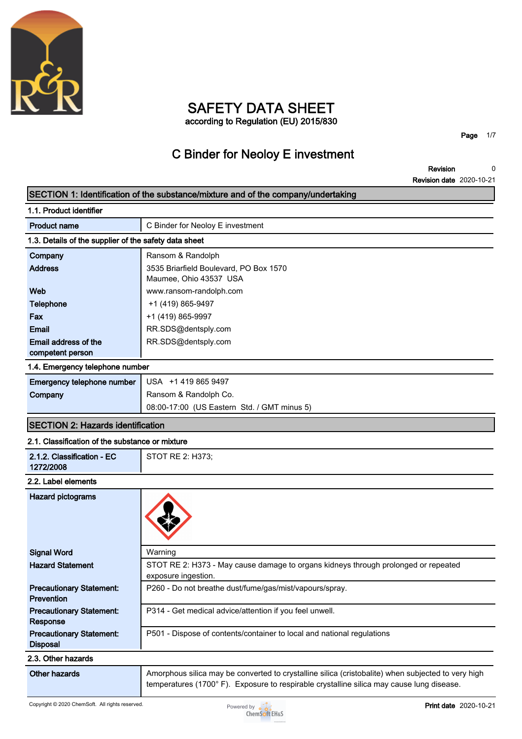

### **SAFETY DATA SHEET according to Regulation (EU) 2015/830**

**C Binder for Neoloy E investment**

**Page 1/7**

**Revision Revision date 2020-10-21 0**

|                                                       | SECTION 1: Identification of the substance/mixture and of the company/undertaking                                                                                                              |
|-------------------------------------------------------|------------------------------------------------------------------------------------------------------------------------------------------------------------------------------------------------|
| 1.1. Product identifier                               |                                                                                                                                                                                                |
| <b>Product name</b>                                   | C Binder for Neoloy E investment                                                                                                                                                               |
| 1.3. Details of the supplier of the safety data sheet |                                                                                                                                                                                                |
| Company                                               | Ransom & Randolph                                                                                                                                                                              |
| <b>Address</b>                                        | 3535 Briarfield Boulevard, PO Box 1570<br>Maumee, Ohio 43537 USA                                                                                                                               |
| Web                                                   | www.ransom-randolph.com                                                                                                                                                                        |
| <b>Telephone</b>                                      | +1 (419) 865-9497                                                                                                                                                                              |
| Fax                                                   | +1 (419) 865-9997                                                                                                                                                                              |
| <b>Email</b>                                          | RR.SDS@dentsply.com                                                                                                                                                                            |
| Email address of the                                  | RR.SDS@dentsply.com                                                                                                                                                                            |
| competent person                                      |                                                                                                                                                                                                |
| 1.4. Emergency telephone number                       |                                                                                                                                                                                                |
| Emergency telephone number                            | USA +1 419 865 9497                                                                                                                                                                            |
| Company                                               | Ransom & Randolph Co.                                                                                                                                                                          |
|                                                       | 08:00-17:00 (US Eastern Std. / GMT minus 5)                                                                                                                                                    |
| <b>SECTION 2: Hazards identification</b>              |                                                                                                                                                                                                |
| 2.1. Classification of the substance or mixture       |                                                                                                                                                                                                |
| 2.1.2. Classification - EC<br>1272/2008               | STOT RE 2: H373;                                                                                                                                                                               |
| 2.2. Label elements                                   |                                                                                                                                                                                                |
| <b>Hazard pictograms</b>                              |                                                                                                                                                                                                |
| <b>Signal Word</b>                                    | Warning                                                                                                                                                                                        |
| <b>Hazard Statement</b>                               | STOT RE 2: H373 - May cause damage to organs kidneys through prolonged or repeated<br>exposure ingestion.                                                                                      |
| <b>Precautionary Statement:</b><br><b>Prevention</b>  | P260 - Do not breathe dust/fume/gas/mist/vapours/spray.                                                                                                                                        |
| <b>Precautionary Statement:</b><br>Response           | P314 - Get medical advice/attention if you feel unwell.                                                                                                                                        |
| <b>Precautionary Statement:</b><br><b>Disposal</b>    | P501 - Dispose of contents/container to local and national regulations                                                                                                                         |
| 2.3. Other hazards                                    |                                                                                                                                                                                                |
| <b>Other hazards</b>                                  | Amorphous silica may be converted to crystalline silica (cristobalite) when subjected to very high<br>temperatures (1700°F). Exposure to respirable crystalline silica may cause lung disease. |

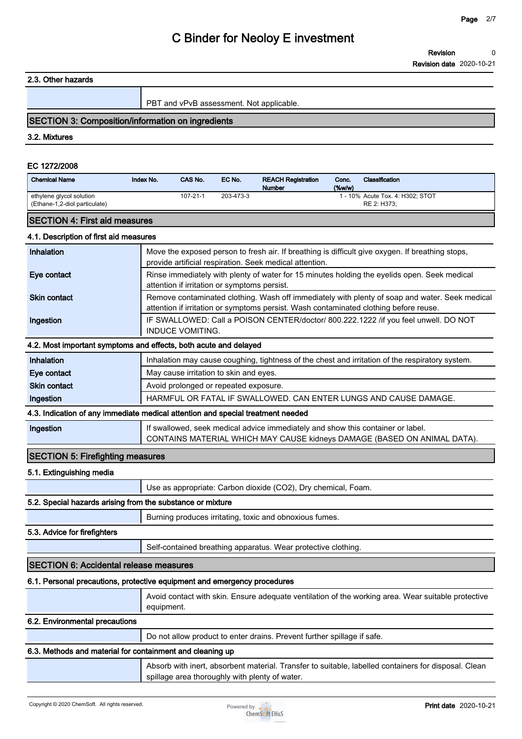#### **2.3. Other hazards**

**PBT and vPvB assessment. Not applicable.**

### **SECTION 3: Composition/information on ingredients**

**3.2. Mixtures**

#### **EC 1272/2008**

| <b>Chemical Name</b>                                                            | Index No.  | CAS No.                                      | EC No.    | <b>REACH Registration</b><br><b>Number</b>                                      | Conc.<br>(% | Classification                                                                                       |
|---------------------------------------------------------------------------------|------------|----------------------------------------------|-----------|---------------------------------------------------------------------------------|-------------|------------------------------------------------------------------------------------------------------|
| ethylene glycol solution<br>(Ethane-1,2-diol particulate)                       |            | $107 - 21 - 1$                               | 203-473-3 |                                                                                 |             | 1 - 10% Acute Tox. 4: H302; STOT<br>RE 2: H373;                                                      |
| <b>SECTION 4: First aid measures</b>                                            |            |                                              |           |                                                                                 |             |                                                                                                      |
| 4.1. Description of first aid measures                                          |            |                                              |           |                                                                                 |             |                                                                                                      |
| Inhalation                                                                      |            |                                              |           |                                                                                 |             | Move the exposed person to fresh air. If breathing is difficult give oxygen. If breathing stops,     |
|                                                                                 |            |                                              |           | provide artificial respiration. Seek medical attention.                         |             |                                                                                                      |
| Eye contact                                                                     |            | attention if irritation or symptoms persist. |           |                                                                                 |             | Rinse immediately with plenty of water for 15 minutes holding the eyelids open. Seek medical         |
| <b>Skin contact</b>                                                             |            |                                              |           |                                                                                 |             | Remove contaminated clothing. Wash off immediately with plenty of soap and water. Seek medical       |
|                                                                                 |            |                                              |           |                                                                                 |             | attention if irritation or symptoms persist. Wash contaminated clothing before reuse.                |
| Ingestion                                                                       |            | <b>INDUCE VOMITING.</b>                      |           |                                                                                 |             | IF SWALLOWED: Call a POISON CENTER/doctor/ 800.222.1222 /if you feel unwell. DO NOT                  |
| 4.2. Most important symptoms and effects, both acute and delayed                |            |                                              |           |                                                                                 |             |                                                                                                      |
| Inhalation                                                                      |            |                                              |           |                                                                                 |             | Inhalation may cause coughing, tightness of the chest and irritation of the respiratory system.      |
| Eye contact                                                                     |            | May cause irritation to skin and eyes.       |           |                                                                                 |             |                                                                                                      |
| <b>Skin contact</b>                                                             |            | Avoid prolonged or repeated exposure.        |           |                                                                                 |             |                                                                                                      |
| Ingestion                                                                       |            |                                              |           |                                                                                 |             | HARMFUL OR FATAL IF SWALLOWED. CAN ENTER LUNGS AND CAUSE DAMAGE.                                     |
| 4.3. Indication of any immediate medical attention and special treatment needed |            |                                              |           |                                                                                 |             |                                                                                                      |
| Ingestion                                                                       |            |                                              |           | If swallowed, seek medical advice immediately and show this container or label. |             | CONTAINS MATERIAL WHICH MAY CAUSE kidneys DAMAGE (BASED ON ANIMAL DATA).                             |
| <b>SECTION 5: Firefighting measures</b>                                         |            |                                              |           |                                                                                 |             |                                                                                                      |
| 5.1. Extinguishing media                                                        |            |                                              |           |                                                                                 |             |                                                                                                      |
|                                                                                 |            |                                              |           | Use as appropriate: Carbon dioxide (CO2), Dry chemical, Foam.                   |             |                                                                                                      |
| 5.2. Special hazards arising from the substance or mixture                      |            |                                              |           |                                                                                 |             |                                                                                                      |
|                                                                                 |            |                                              |           | Burning produces irritating, toxic and obnoxious fumes.                         |             |                                                                                                      |
| 5.3. Advice for firefighters                                                    |            |                                              |           |                                                                                 |             |                                                                                                      |
|                                                                                 |            |                                              |           | Self-contained breathing apparatus. Wear protective clothing.                   |             |                                                                                                      |
| SECTION 6: Accidental release measures                                          |            |                                              |           |                                                                                 |             |                                                                                                      |
| 6.1. Personal precautions, protective equipment and emergency procedures        |            |                                              |           |                                                                                 |             |                                                                                                      |
|                                                                                 | equipment. |                                              |           |                                                                                 |             | Avoid contact with skin. Ensure adequate ventilation of the working area. Wear suitable protective   |
| 6.2. Environmental precautions                                                  |            |                                              |           |                                                                                 |             |                                                                                                      |
|                                                                                 |            |                                              |           | Do not allow product to enter drains. Prevent further spillage if safe.         |             |                                                                                                      |
| 6.3. Methods and material for containment and cleaning up                       |            |                                              |           |                                                                                 |             |                                                                                                      |
|                                                                                 |            |                                              |           |                                                                                 |             | Absorb with inert, absorbent material. Transfer to suitable, labelled containers for disposal. Clean |



**spillage area thoroughly with plenty of water.**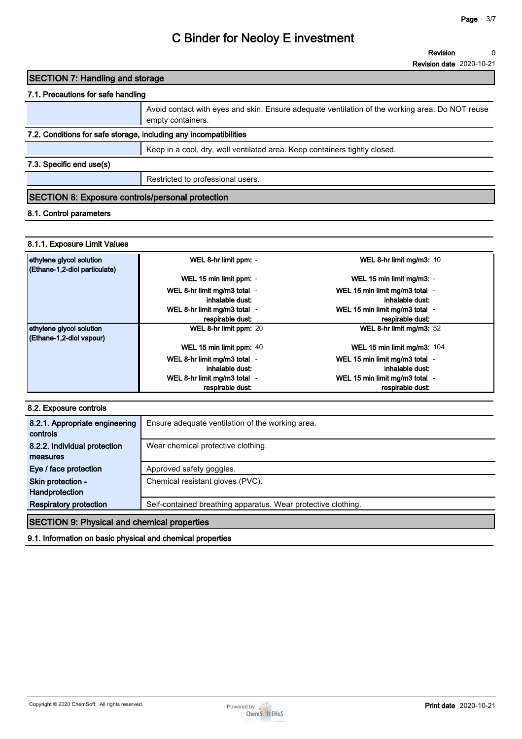### **SECTION 7: Handling and storage**

### **7.1. Precautions for safe handling**

|                                                                   | Avoid contact with eyes and skin. Ensure adequate ventilation of the working area. Do NOT reuse<br>empty containers. |  |  |  |
|-------------------------------------------------------------------|----------------------------------------------------------------------------------------------------------------------|--|--|--|
| 7.2. Conditions for safe storage, including any incompatibilities |                                                                                                                      |  |  |  |
|                                                                   | Keep in a cool, dry, well ventilated area. Keep containers tightly closed.                                           |  |  |  |
| 7.3. Specific end use(s)                                          |                                                                                                                      |  |  |  |
|                                                                   | Restricted to professional users.                                                                                    |  |  |  |
| SECTION 8: Exposure controls/personal protection                  |                                                                                                                      |  |  |  |

### **8.1. Control parameters**

### **8.1.1. Exposure Limit Values**

| ethylene glycol solution      | WEL 8-hr limit ppm: -        | WEL 8-hr limit mg/m3: 10       |
|-------------------------------|------------------------------|--------------------------------|
| (Ethane-1,2-diol particulate) |                              |                                |
|                               | WEL 15 min limit ppm: -      | WEL 15 min limit mg/m3: -      |
|                               | WEL 8-hr limit mg/m3 total - | WEL 15 min limit mg/m3 total - |
|                               | inhalable dust:              | inhalable dust:                |
|                               | WEL 8-hr limit mg/m3 total - | WEL 15 min limit mg/m3 total - |
|                               | respirable dust:             | respirable dust:               |
| ethylene glycol solution      | WEL 8-hr limit ppm: 20       | WEL 8-hr limit mg/m3: 52       |
| (Ethane-1,2-diol vapour)      |                              |                                |
|                               | WEL 15 min limit ppm: 40     | WEL 15 min limit mg/m3: 104    |
|                               | WEL 8-hr limit mg/m3 total - | WEL 15 min limit mg/m3 total - |
|                               | inhalable dust:              | inhalable dust:                |
|                               | WEL 8-hr limit mg/m3 total - | WEL 15 min limit mg/m3 total - |
|                               | respirable dust:             | respirable dust:               |

#### **8.2. Exposure controls**

| 8.2.1. Appropriate engineering<br>controls         | Ensure adequate ventilation of the working area.              |  |  |  |
|----------------------------------------------------|---------------------------------------------------------------|--|--|--|
|                                                    |                                                               |  |  |  |
| 8.2.2. Individual protection                       | Wear chemical protective clothing.                            |  |  |  |
| measures                                           |                                                               |  |  |  |
| Eye / face protection                              | Approved safety goggles.                                      |  |  |  |
| Skin protection -                                  | Chemical resistant gloves (PVC).                              |  |  |  |
| <b>Handprotection</b>                              |                                                               |  |  |  |
| <b>Respiratory protection</b>                      | Self-contained breathing apparatus. Wear protective clothing. |  |  |  |
| <b>SECTION 9: Physical and chemical properties</b> |                                                               |  |  |  |

#### **9.1. Information on basic physical and chemical properties**

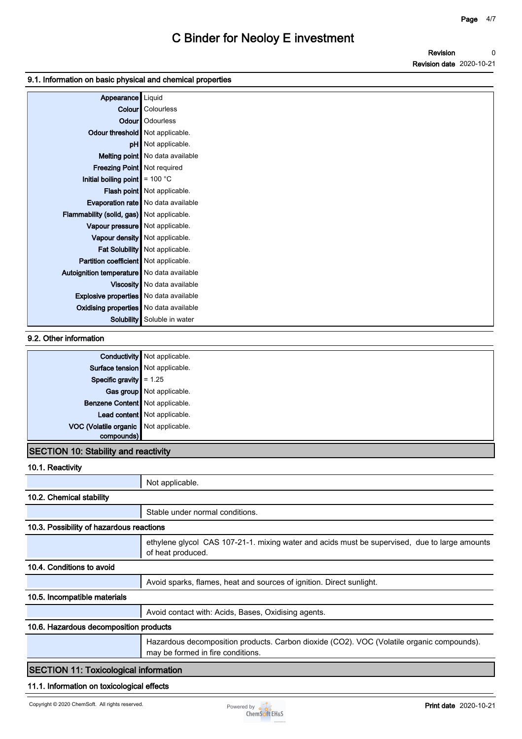### **9.1. Information on basic physical and chemical properties**

| Appearance   Liquid                           |                                      |
|-----------------------------------------------|--------------------------------------|
|                                               | <b>Colour</b> Colourless             |
|                                               | <b>Odour</b>   Odourless             |
| Odour threshold   Not applicable.             |                                      |
|                                               | pH Not applicable.                   |
|                                               | Melting point   No data available    |
| Freezing Point   Not required                 |                                      |
| Initial boiling point $\vert$ = 100 °C        |                                      |
|                                               | Flash point   Not applicable.        |
|                                               | Evaporation rate   No data available |
| Flammability (solid, gas) Not applicable.     |                                      |
| Vapour pressure   Not applicable.             |                                      |
|                                               | Vapour density   Not applicable.     |
|                                               | Fat Solubility   Not applicable.     |
| Partition coefficient Not applicable.         |                                      |
| Autoignition temperature   No data available  |                                      |
|                                               | Viscosity   No data available        |
| <b>Explosive properties</b> No data available |                                      |
| Oxidising properties No data available        |                                      |
|                                               | <b>Solubility</b> Soluble in water   |

### **9.2. Other information**

|                                             | <b>Conductivity</b> Not applicable. |  |
|---------------------------------------------|-------------------------------------|--|
| Surface tension   Not applicable.           |                                     |  |
| Specific gravity $= 1.25$                   |                                     |  |
|                                             | Gas group Not applicable.           |  |
| Benzene Content Not applicable.             |                                     |  |
|                                             | Lead content   Not applicable.      |  |
| VOC (Volatile organic Not applicable.       |                                     |  |
| compounds)                                  |                                     |  |
| <b>SECTION 10: Stability and reactivity</b> |                                     |  |

### **10.1. Reactivity**

| <b>IV.I.INGQUIVILY</b>                   |                                                                                                                                |
|------------------------------------------|--------------------------------------------------------------------------------------------------------------------------------|
|                                          | Not applicable.                                                                                                                |
| 10.2. Chemical stability                 |                                                                                                                                |
|                                          | Stable under normal conditions.                                                                                                |
| 10.3. Possibility of hazardous reactions |                                                                                                                                |
|                                          | ethylene glycol CAS 107-21-1. mixing water and acids must be supervised, due to large amounts<br>of heat produced.             |
| 10.4. Conditions to avoid                |                                                                                                                                |
|                                          | Avoid sparks, flames, heat and sources of ignition. Direct sunlight.                                                           |
| 10.5. Incompatible materials             |                                                                                                                                |
|                                          | Avoid contact with: Acids, Bases, Oxidising agents.                                                                            |
| 10.6. Hazardous decomposition products   |                                                                                                                                |
|                                          | Hazardous decomposition products. Carbon dioxide (CO2). VOC (Volatile organic compounds).<br>may be formed in fire conditions. |
| RECTION 11: Tovicological information    |                                                                                                                                |

### **SECTION 11: Toxicological information**

### **11.1. Information on toxicological effects**

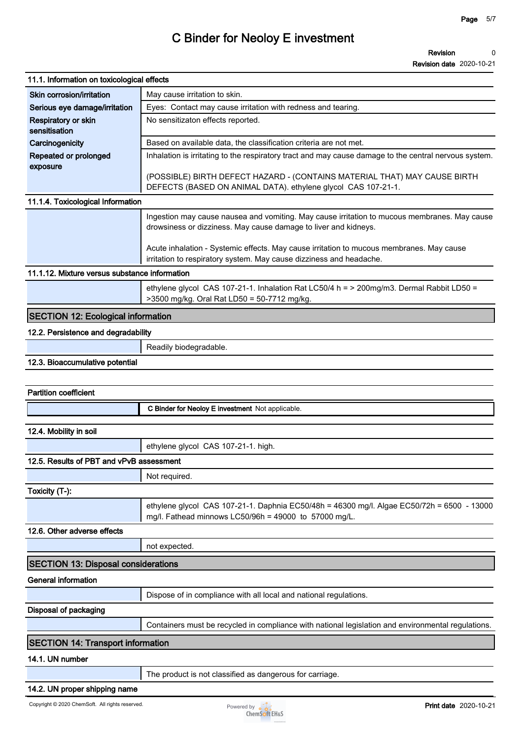**Revision date 2020-10-21**

| 11.1. Information on toxicological effects      |                                                                                                                                                                 |
|-------------------------------------------------|-----------------------------------------------------------------------------------------------------------------------------------------------------------------|
| Skin corrosion/irritation                       | May cause irritation to skin.                                                                                                                                   |
| Serious eye damage/irritation                   | Eyes: Contact may cause irritation with redness and tearing.                                                                                                    |
| Respiratory or skin<br>sensitisation            | No sensitizaton effects reported.                                                                                                                               |
| Carcinogenicity                                 | Based on available data, the classification criteria are not met.                                                                                               |
| Repeated or prolonged<br>exposure               | Inhalation is irritating to the respiratory tract and may cause damage to the central nervous system.                                                           |
|                                                 | (POSSIBLE) BIRTH DEFECT HAZARD - (CONTAINS MATERIAL THAT) MAY CAUSE BIRTH<br>DEFECTS (BASED ON ANIMAL DATA). ethylene glycol CAS 107-21-1.                      |
| 11.1.4. Toxicological Information               |                                                                                                                                                                 |
|                                                 | Ingestion may cause nausea and vomiting. May cause irritation to mucous membranes. May cause<br>drowsiness or dizziness. May cause damage to liver and kidneys. |
|                                                 | Acute inhalation - Systemic effects. May cause irritation to mucous membranes. May cause<br>irritation to respiratory system. May cause dizziness and headache. |
| 11.1.12. Mixture versus substance information   |                                                                                                                                                                 |
|                                                 | ethylene glycol CAS 107-21-1. Inhalation Rat LC50/4 h = > 200mg/m3. Dermal Rabbit LD50 =<br>>3500 mg/kg. Oral Rat LD50 = 50-7712 mg/kg.                         |
| <b>SECTION 12: Ecological information</b>       |                                                                                                                                                                 |
| 12.2. Persistence and degradability             |                                                                                                                                                                 |
|                                                 | Readily biodegradable.                                                                                                                                          |
| 12.3. Bioaccumulative potential                 |                                                                                                                                                                 |
|                                                 |                                                                                                                                                                 |
| <b>Partition coefficient</b>                    |                                                                                                                                                                 |
|                                                 | C Binder for Neoloy E investment Not applicable.                                                                                                                |
| 12.4. Mobility in soil                          |                                                                                                                                                                 |
|                                                 | ethylene glycol CAS 107-21-1. high.                                                                                                                             |
| 12.5. Results of PBT and vPvB assessment        |                                                                                                                                                                 |
|                                                 | Not required.                                                                                                                                                   |
| Toxicity (T-):                                  |                                                                                                                                                                 |
|                                                 | ethylene glycol CAS 107-21-1. Daphnia EC50/48h = 46300 mg/l. Algae EC50/72h = 6500 - 13000<br>mg/l. Fathead minnows LC50/96h = 49000 to 57000 mg/L.             |
| 12.6. Other adverse effects                     |                                                                                                                                                                 |
|                                                 | not expected.                                                                                                                                                   |
| <b>SECTION 13: Disposal considerations</b>      |                                                                                                                                                                 |
| <b>General information</b>                      |                                                                                                                                                                 |
|                                                 | Dispose of in compliance with all local and national regulations.                                                                                               |
| <b>Disposal of packaging</b>                    |                                                                                                                                                                 |
|                                                 | Containers must be recycled in compliance with national legislation and environmental regulations.                                                              |
|                                                 |                                                                                                                                                                 |
| <b>SECTION 14: Transport information</b>        |                                                                                                                                                                 |
| 14.1. UN number                                 |                                                                                                                                                                 |
|                                                 | The product is not classified as dangerous for carriage.                                                                                                        |
| 14.2. UN proper shipping name                   |                                                                                                                                                                 |
| Copyright © 2020 ChemSoft. All rights reserved. | <b>Print date 2020-10-21</b><br>Powered by $\bullet$ $\bullet$<br><b>ChemSoft EH&amp;S</b>                                                                      |

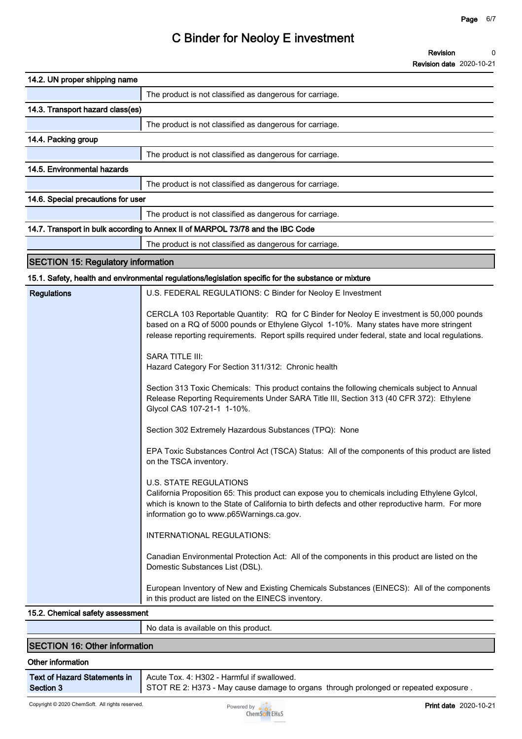| 14.2. UN proper shipping name                                                                                                                                                                                                                                                            |  |
|------------------------------------------------------------------------------------------------------------------------------------------------------------------------------------------------------------------------------------------------------------------------------------------|--|
| The product is not classified as dangerous for carriage.                                                                                                                                                                                                                                 |  |
| 14.3. Transport hazard class(es)                                                                                                                                                                                                                                                         |  |
| The product is not classified as dangerous for carriage.                                                                                                                                                                                                                                 |  |
| 14.4. Packing group                                                                                                                                                                                                                                                                      |  |
| The product is not classified as dangerous for carriage.                                                                                                                                                                                                                                 |  |
| 14.5. Environmental hazards                                                                                                                                                                                                                                                              |  |
| The product is not classified as dangerous for carriage.                                                                                                                                                                                                                                 |  |
| 14.6. Special precautions for user                                                                                                                                                                                                                                                       |  |
| The product is not classified as dangerous for carriage.                                                                                                                                                                                                                                 |  |
| 14.7. Transport in bulk according to Annex II of MARPOL 73/78 and the IBC Code                                                                                                                                                                                                           |  |
| The product is not classified as dangerous for carriage.                                                                                                                                                                                                                                 |  |
| <b>SECTION 15: Regulatory information</b>                                                                                                                                                                                                                                                |  |
| 15.1. Safety, health and environmental regulations/legislation specific for the substance or mixture                                                                                                                                                                                     |  |
| <b>Regulations</b><br>U.S. FEDERAL REGULATIONS: C Binder for Neoloy E Investment                                                                                                                                                                                                         |  |
| CERCLA 103 Reportable Quantity: RQ for C Binder for Neoloy E investment is 50,000 pounds<br>based on a RQ of 5000 pounds or Ethylene Glycol 1-10%. Many states have more stringent<br>release reporting requirements. Report spills required under federal, state and local regulations. |  |
| <b>SARA TITLE III:</b><br>Hazard Category For Section 311/312: Chronic health                                                                                                                                                                                                            |  |
| Section 313 Toxic Chemicals: This product contains the following chemicals subject to Annual<br>Release Reporting Requirements Under SARA Title III, Section 313 (40 CFR 372): Ethylene<br>Glycol CAS 107-21-1 1-10%.                                                                    |  |
| Section 302 Extremely Hazardous Substances (TPQ): None                                                                                                                                                                                                                                   |  |
| EPA Toxic Substances Control Act (TSCA) Status: All of the components of this product are listed<br>on the TSCA inventory.                                                                                                                                                               |  |
| <b>U.S. STATE REGULATIONS</b><br>California Proposition 65: This product can expose you to chemicals including Ethylene Gylcol,<br>which is known to the State of California to birth defects and other reproductive harm. For more<br>information go to www.p65Warnings.ca.gov.         |  |
| INTERNATIONAL REGULATIONS:                                                                                                                                                                                                                                                               |  |
| Canadian Environmental Protection Act: All of the components in this product are listed on the<br>Domestic Substances List (DSL).                                                                                                                                                        |  |
| European Inventory of New and Existing Chemicals Substances (EINECS): All of the components<br>in this product are listed on the EINECS inventory.                                                                                                                                       |  |
| 15.2. Chemical safety assessment                                                                                                                                                                                                                                                         |  |

|        | No data is available on this product. |  |  |  |
|--------|---------------------------------------|--|--|--|
|        |                                       |  |  |  |
| $10-0$ |                                       |  |  |  |

### **SECTION 16: Other information**

### **Other information**

| <b>Text of Hazard Statements in</b> |  |
|-------------------------------------|--|
| <b>Section 3</b>                    |  |

**Acute Tox. 4: H302 - Harmful if swallowed.**

**STOT RE 2: H373 - May cause damage to organs through prolonged or repeated exposure .**